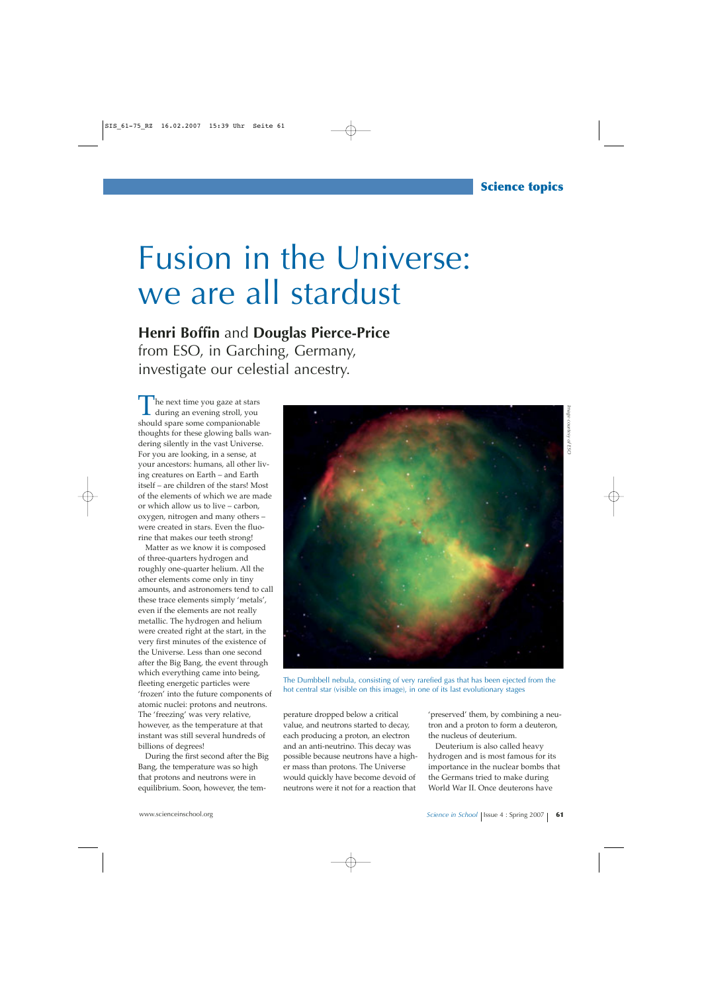## Fusion in the Universe: we are all stardust

**Henri Boffin** and **Douglas Pierce-Price** from ESO, in Garching, Germany, investigate our celestial ancestry.

The next time you gaze at stars<br>during an evening stroll, you should spare some companionable thoughts for these glowing balls wandering silently in the vast Universe. For you are looking, in a sense, at your ancestors: humans, all other living creatures on Earth – and Earth itself – are children of the stars! Most of the elements of which we are made or which allow us to live – carbon, oxygen, nitrogen and many others – were created in stars. Even the fluorine that makes our teeth strong!

Matter as we know it is composed of three-quarters hydrogen and roughly one-quarter helium. All the other elements come only in tiny amounts, and astronomers tend to call these trace elements simply 'metals', even if the elements are not really metallic. The hydrogen and helium were created right at the start, in the very first minutes of the existence of the Universe. Less than one second after the Big Bang, the event through which everything came into being, fleeting energetic particles were 'frozen' into the future components of atomic nuclei: protons and neutrons. The 'freezing' was very relative, however, as the temperature at that instant was still several hundreds of billions of degrees!

During the first second after the Big Bang, the temperature was so high that protons and neutrons were in equilibrium. Soon, however, the tem-



The Dumbbell nebula, consisting of very rarefied gas that has been ejected from the hot central star (visible on this image), in one of its last evolutionary stages

perature dropped below a critical value, and neutrons started to decay, each producing a proton, an electron and an anti-neutrino. This decay was possible because neutrons have a higher mass than protons. The Universe would quickly have become devoid of neutrons were it not for a reaction that

'preserved' them, by combining a neutron and a proton to form a deuteron, the nucleus of deuterium.

Deuterium is also called heavy hydrogen and is most famous for its importance in the nuclear bombs that the Germans tried to make during World War II. Once deuterons have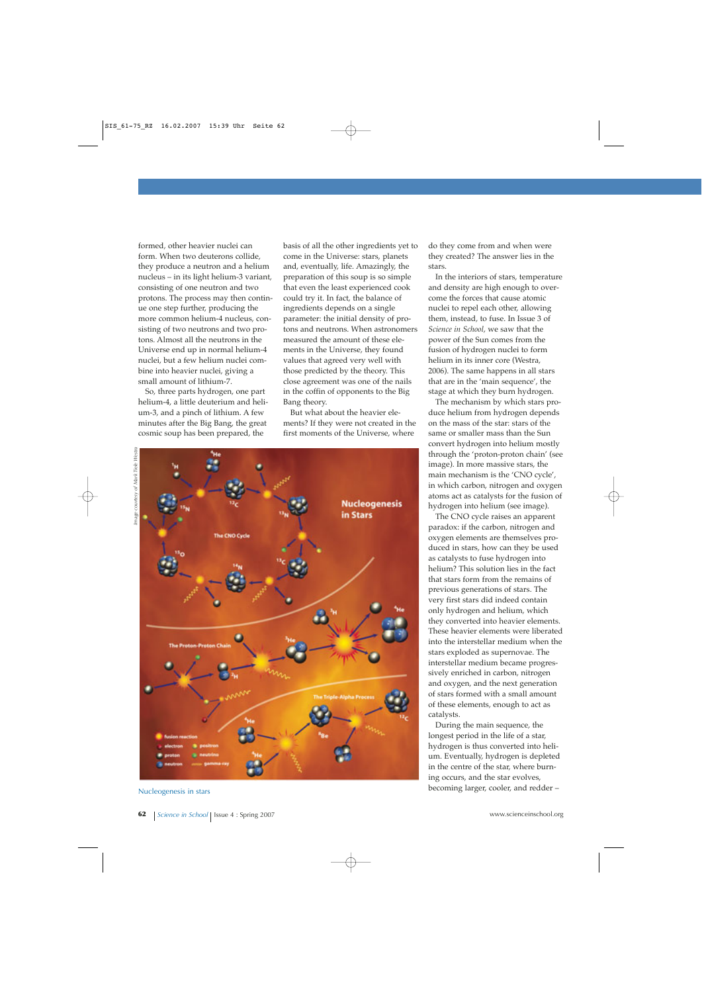formed, other heavier nuclei can form. When two deuterons collide, they produce a neutron and a helium nucleus – in its light helium-3 variant, consisting of one neutron and two protons. The process may then continue one step further, producing the more common helium-4 nucleus, consisting of two neutrons and two protons. Almost all the neutrons in the Universe end up in normal helium-4 nuclei, but a few helium nuclei combine into heavier nuclei, giving a small amount of lithium-7.

So, three parts hydrogen, one part helium-4, a little deuterium and helium-3, and a pinch of lithium. A few minutes after the Big Bang, the great cosmic soup has been prepared, the

basis of all the other ingredients yet to come in the Universe: stars, planets and, eventually, life. Amazingly, the preparation of this soup is so simple that even the least experienced cook could try it. In fact, the balance of ingredients depends on a single parameter: the initial density of protons and neutrons. When astronomers measured the amount of these elements in the Universe, they found values that agreed very well with those predicted by the theory. This close agreement was one of the nails in the coffin of opponents to the Big Bang theory.

But what about the heavier elements? If they were not created in the first moments of the Universe, where





Nucleogenesis in stars

do they come from and when were they created? The answer lies in the stars.

In the interiors of stars, temperature and density are high enough to overcome the forces that cause atomic nuclei to repel each other, allowing them, instead, to fuse. In Issue 3 of *Science in School*, we saw that the power of the Sun comes from the fusion of hydrogen nuclei to form helium in its inner core (Westra, 2006). The same happens in all stars that are in the 'main sequence', the stage at which they burn hydrogen.

The mechanism by which stars produce helium from hydrogen depends on the mass of the star: stars of the same or smaller mass than the Sun convert hydrogen into helium mostly through the 'proton-proton chain' (see image). In more massive stars, the main mechanism is the 'CNO cycle', in which carbon, nitrogen and oxygen atoms act as catalysts for the fusion of hydrogen into helium (see image).

The CNO cycle raises an apparent paradox: if the carbon, nitrogen and oxygen elements are themselves produced in stars, how can they be used as catalysts to fuse hydrogen into helium? This solution lies in the fact that stars form from the remains of previous generations of stars. The very first stars did indeed contain only hydrogen and helium, which they converted into heavier elements. These heavier elements were liberated into the interstellar medium when the stars exploded as supernovae. The interstellar medium became progressively enriched in carbon, nitrogen and oxygen, and the next generation of stars formed with a small amount of these elements, enough to act as catalysts.

During the main sequence, the longest period in the life of a star, hydrogen is thus converted into helium. Eventually, hydrogen is depleted in the centre of the star, where burning occurs, and the star evolves, becoming larger, cooler, and redder –